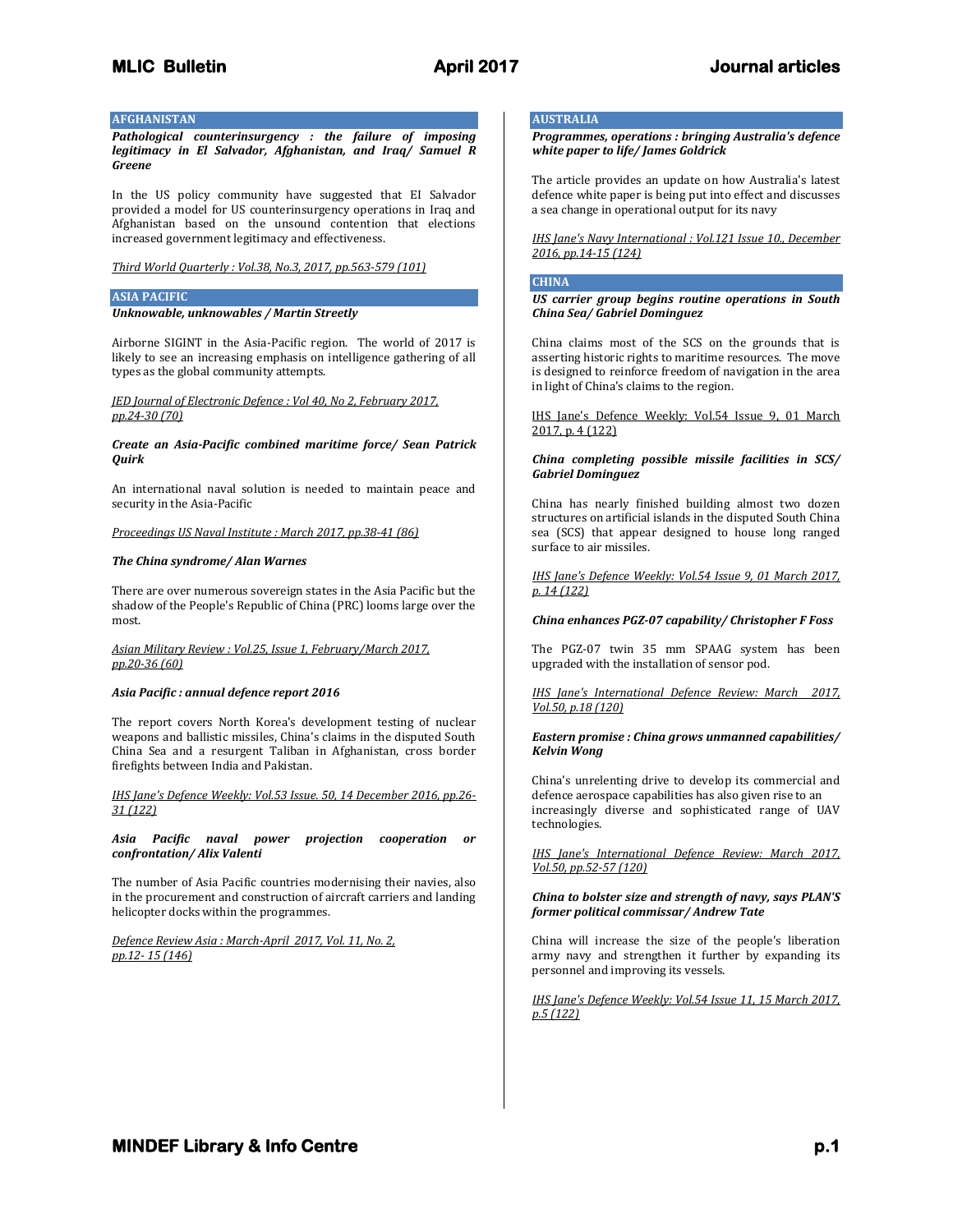# **AFGHANISTAN**

*Pathological counterinsurgency : the failure of imposing legitimacy in El Salvador, Afghanistan, and Iraq/ Samuel R Greene*

In the US policy community have suggested that EI Salvador provided a model for US counterinsurgency operations in Iraq and Afghanistan based on the unsound contention that elections increased government legitimacy and effectiveness.

*Third World Quarterly : Vol.38, No.3, 2017, pp.563-579 (101)*

## **ASIA PACIFIC**

### *Unknowable, unknowables / Martin Streetly*

Airborne SIGINT in the Asia-Pacific region. The world of 2017 is likely to see an increasing emphasis on intelligence gathering of all types as the global community attempts.

## *JED Journal of Electronic Defence : Vol 40, No 2, February 2017, pp.24-30 (70)*

### *Create an Asia-Pacific combined maritime force/ Sean Patrick Quirk*

An international naval solution is needed to maintain peace and security in the Asia-Pacific

*Proceedings US Naval Institute : March 2017, pp.38-41 (86)*

### *The China syndrome/ Alan Warnes*

There are over numerous sovereign states in the Asia Pacific but the shadow of the People's Republic of China (PRC) looms large over the most.

# *Asian Military Review : Vol.25, Issue 1, February/March 2017, pp.20-36 (60)*

### *Asia Pacific : annual defence report 2016*

The report covers North Korea's development testing of nuclear weapons and ballistic missiles, China's claims in the disputed South China Sea and a resurgent Taliban in Afghanistan, cross border firefights between India and Pakistan.

*IHS Jane's Defence Weekly: Vol.53 Issue. 50, 14 December 2016, pp.26- 31 (122)*

*Asia Pacific naval power projection cooperation or confrontation/ Alix Valenti*

The number of Asia Pacific countries modernising their navies, also in the procurement and construction of aircraft carriers and landing helicopter docks within the programmes.

*Defence Review Asia : March-April 2017, Vol. 11, No. 2, pp.12- 15 (146)*

# **AUSTRALIA**

*Programmes, operations : bringing Australia's defence white paper to life/ James Goldrick*

The article provides an update on how Australia's latest defence white paper is being put into effect and discusses a sea change in operational output for its navy

*IHS Jane's Navy International : Vol.121 Issue 10., December 2016, pp.14-15 (124)*

# **CHINA**

*US carrier group begins routine operations in South China Sea/ Gabriel Dominguez*

China claims most of the SCS on the grounds that is asserting historic rights to maritime resources. The move is designed to reinforce freedom of navigation in the area in light of China's claims to the region.

IHS Jane's Defence Weekly: Vol.54 Issue 9, 01 March 2017, p. 4 (122)

### *China completing possible missile facilities in SCS/ Gabriel Dominguez*

China has nearly finished building almost two dozen structures on artificial islands in the disputed South China sea (SCS) that appear designed to house long ranged surface to air missiles.

*IHS Jane's Defence Weekly: Vol.54 Issue 9, 01 March 2017, p. 14 (122)*

### *China enhances PGZ-07 capability/ Christopher F Foss*

The PGZ-07 twin 35 mm SPAAG system has been upgraded with the installation of sensor pod.

*IHS Jane's International Defence Review: March 2017, Vol.50, p.18 (120)*

### *Eastern promise : China grows unmanned capabilities/ Kelvin Wong*

China's unrelenting drive to develop its commercial and defence aerospace capabilities has also given rise to an increasingly diverse and sophisticated range of UAV technologies.

*IHS Jane's International Defence Review: March 2017, Vol.50, pp.52-57 (120)*

### *China to bolster size and strength of navy, says PLAN'S former political commissar/ Andrew Tate*

China will increase the size of the people's liberation army navy and strengthen it further by expanding its personnel and improving its vessels.

*IHS Jane's Defence Weekly: Vol.54 Issue 11, 15 March 2017, p.5 (122)*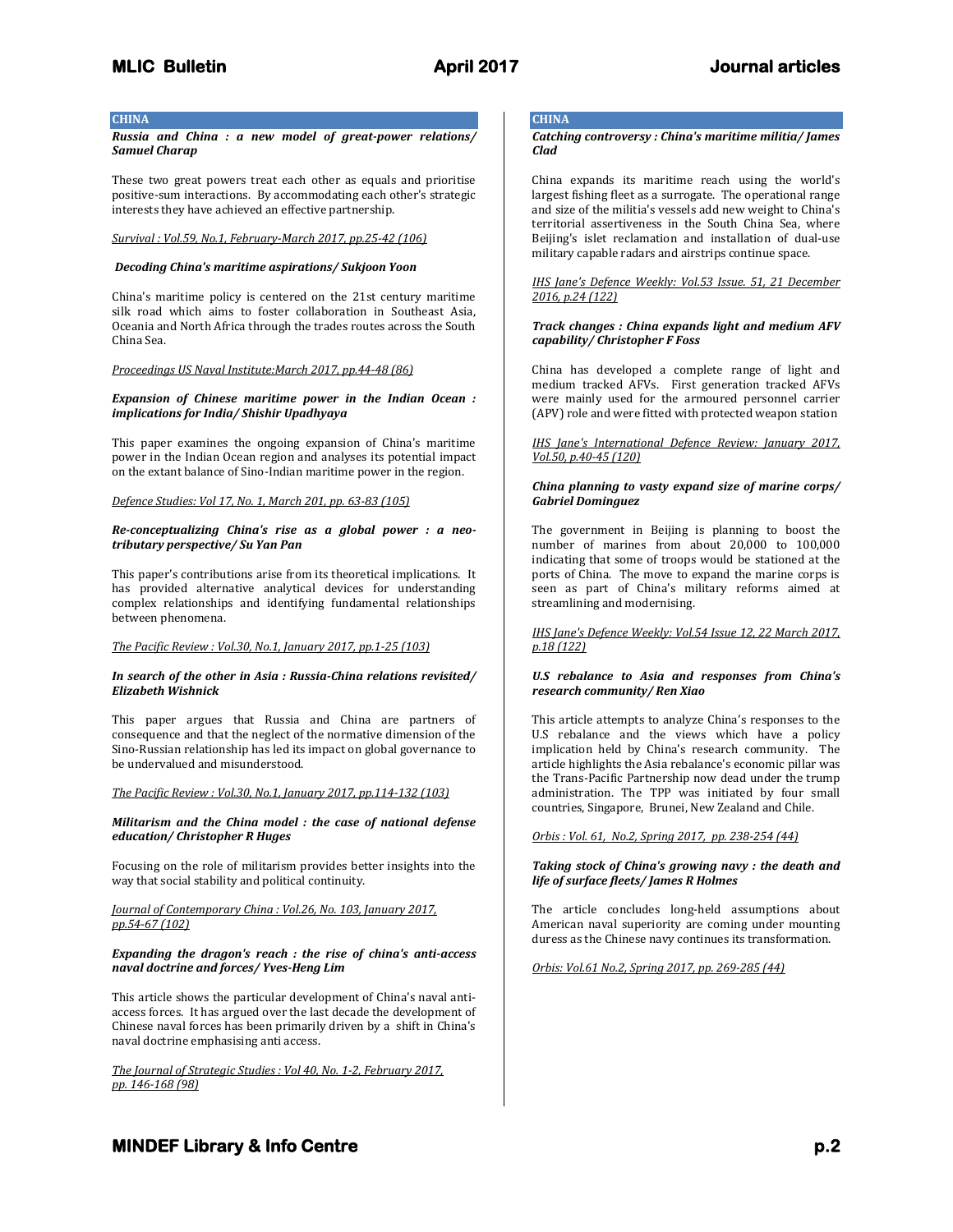### **CHINA**

*Russia and China : a new model of great-power relations/ Samuel Charap*

These two great powers treat each other as equals and prioritise positive-sum interactions. By accommodating each other's strategic interests they have achieved an effective partnership.

### *Survival : Vol.59, No.1, February-March 2017, pp.25-42 (106)*

### *Decoding China's maritime aspirations/ Sukjoon Yoon*

China's maritime policy is centered on the 21st century maritime silk road which aims to foster collaboration in Southeast Asia, Oceania and North Africa through the trades routes across the South China Sea.

### *Proceedings US Naval Institute:March 2017, pp.44-48 (86)*

### *Expansion of Chinese maritime power in the Indian Ocean : implications for India/ Shishir Upadhyaya*

This paper examines the ongoing expansion of China's maritime power in the Indian Ocean region and analyses its potential impact on the extant balance of Sino-Indian maritime power in the region.

### *Defence Studies: Vol 17, No. 1, March 201, pp. 63-83 (105)*

### *Re-conceptualizing China's rise as a global power : a neotributary perspective/ Su Yan Pan*

This paper's contributions arise from its theoretical implications. It has provided alternative analytical devices for understanding complex relationships and identifying fundamental relationships between phenomena.

# *The Pacific Review : Vol.30, No.1, January 2017, pp.1-25 (103)*

### *In search of the other in Asia : Russia-China relations revisited/ Elizabeth Wishnick*

This paper argues that Russia and China are partners of consequence and that the neglect of the normative dimension of the Sino-Russian relationship has led its impact on global governance to be undervalued and misunderstood.

### *The Pacific Review : Vol.30, No.1, January 2017, pp.114-132 (103)*

### *Militarism and the China model : the case of national defense education/ Christopher R Huges*

Focusing on the role of militarism provides better insights into the way that social stability and political continuity.

### *Journal of Contemporary China : Vol.26, No. 103, January 2017, pp.54-67 (102)*

### *Expanding the dragon's reach : the rise of china's anti-access naval doctrine and forces/ Yves-Heng Lim*

This article shows the particular development of China's naval antiaccess forces. It has argued over the last decade the development of Chinese naval forces has been primarily driven by a shift in China's naval doctrine emphasising anti access.

*The Journal of Strategic Studies : Vol 40, No. 1-2, February 2017, pp. 146-168 (98)*

# **CHINA**

*Catching controversy : China's maritime militia/ James Clad*

China expands its maritime reach using the world's largest fishing fleet as a surrogate. The operational range and size of the militia's vessels add new weight to China's territorial assertiveness in the South China Sea, where Beijing's islet reclamation and installation of dual-use military capable radars and airstrips continue space.

### *IHS Jane's Defence Weekly: Vol.53 Issue. 51, 21 December 2016, p.24 (122)*

### *Track changes : China expands light and medium AFV capability/ Christopher F Foss*

China has developed a complete range of light and medium tracked AFVs. First generation tracked AFVs were mainly used for the armoured personnel carrier (APV) role and were fitted with protected weapon station

*IHS Jane's International Defence Review: January 2017, Vol.50, p.40-45 (120)*

### *China planning to vasty expand size of marine corps/ Gabriel Dominguez*

The government in Beijing is planning to boost the number of marines from about 20,000 to 100,000 indicating that some of troops would be stationed at the ports of China. The move to expand the marine corps is seen as part of China's military reforms aimed at streamlining and modernising.

### *IHS Jane's Defence Weekly: Vol.54 Issue 12, 22 March 2017, p.18 (122)*

### *U.S rebalance to Asia and responses from China's research community/ Ren Xiao*

This article attempts to analyze China's responses to the U.S rebalance and the views which have a policy implication held by China's research community. The article highlights the Asia rebalance's economic pillar was the Trans-Pacific Partnership now dead under the trump administration. The TPP was initiated by four small countries, Singapore, Brunei, New Zealand and Chile.

*Orbis : Vol. 61, No.2, Spring 2017, pp. 238-254 (44)*

### *Taking stock of China's growing navy : the death and life of surface fleets/ James R Holmes*

The article concludes long-held assumptions about American naval superiority are coming under mounting duress as the Chinese navy continues its transformation.

*Orbis: Vol.61 No.2, Spring 2017, pp. 269-285 (44)*

# **MINDEF Library & Info Centre** *p.2* **<b>p.2 p.2**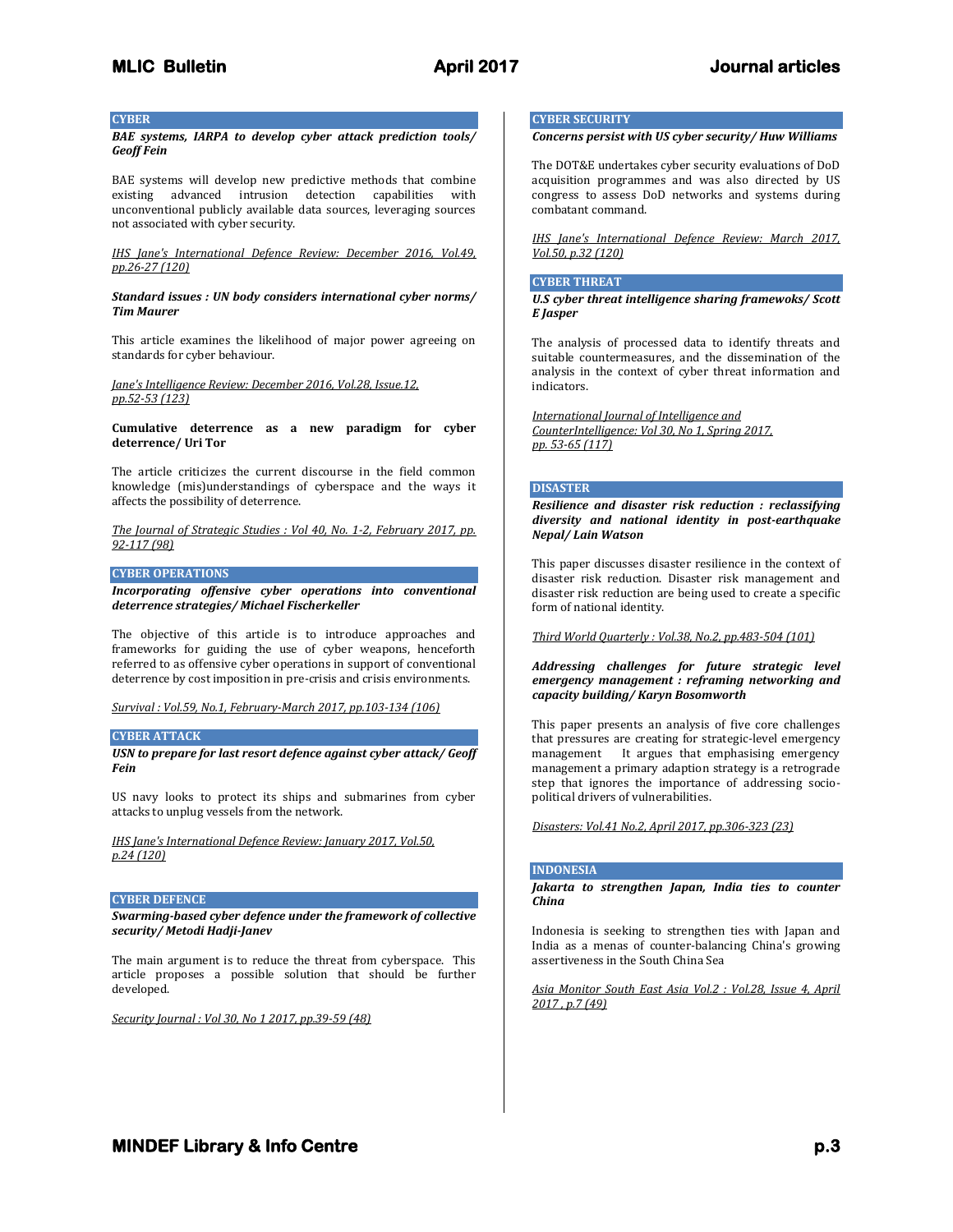### **CYBER**

*BAE systems, IARPA to develop cyber attack prediction tools/ Geoff Fein*

BAE systems will develop new predictive methods that combine existing advanced intrusion detection capabilities with unconventional publicly available data sources, leveraging sources not associated with cyber security.

*IHS Jane's International Defence Review: December 2016, Vol.49, pp.26-27 (120)*

### *Standard issues : UN body considers international cyber norms/ Tim Maurer*

This article examines the likelihood of major power agreeing on standards for cyber behaviour.

*Jane's Intelligence Review: December 2016, Vol.28, Issue.12, pp.52-53 (123)*

**Cumulative deterrence as a new paradigm for cyber deterrence/ Uri Tor**

The article criticizes the current discourse in the field common knowledge (mis)understandings of cyberspace and the ways it affects the possibility of deterrence.

*The Journal of Strategic Studies : Vol 40, No. 1-2, February 2017, pp. 92-117 (98)*

### **CYBER OPERATIONS**

*Incorporating offensive cyber operations into conventional deterrence strategies/ Michael Fischerkeller*

The objective of this article is to introduce approaches and frameworks for guiding the use of cyber weapons, henceforth referred to as offensive cyber operations in support of conventional deterrence by cost imposition in pre-crisis and crisis environments.

*Survival : Vol.59, No.1, February-March 2017, pp.103-134 (106)*

# **CYBER ATTACK**

*USN to prepare for last resort defence against cyber attack/ Geoff Fein*

US navy looks to protect its ships and submarines from cyber attacks to unplug vessels from the network.

### *IHS Jane's International Defence Review: January 2017, Vol.50, p.24 (120)*

### **CYBER DEFENCE**

*Swarming-based cyber defence under the framework of collective security/ Metodi Hadji-Janev*

The main argument is to reduce the threat from cyberspace. This article proposes a possible solution that should be further developed.

*Security Journal : Vol 30, No 1 2017, pp.39-59 (48)*

# **CYBER SECURITY**

# *Concerns persist with US cyber security/ Huw Williams*

The DOT&E undertakes cyber security evaluations of DoD acquisition programmes and was also directed by US congress to assess DoD networks and systems during combatant command.

*IHS Jane's International Defence Review: March 2017, Vol.50, p.32 (120)*

### **CYBER THREAT**

*U.S cyber threat intelligence sharing framewoks/ Scott E Jasper*

The analysis of processed data to identify threats and suitable countermeasures, and the dissemination of the analysis in the context of cyber threat information and indicators.

*International Journal of Intelligence and CounterIntelligence: Vol 30, No 1, Spring 2017, pp. 53-65 (117)* 

### **DISASTER**

*Resilience and disaster risk reduction : reclassifying diversity and national identity in post-earthquake Nepal/ Lain Watson*

This paper discusses disaster resilience in the context of disaster risk reduction. Disaster risk management and disaster risk reduction are being used to create a specific form of national identity.

*Third World Quarterly : Vol.38, No.2, pp.483-504 (101)*

*Addressing challenges for future strategic level emergency management : reframing networking and capacity building/ Karyn Bosomworth*

This paper presents an analysis of five core challenges that pressures are creating for strategic-level emergency management It argues that emphasising emergency management a primary adaption strategy is a retrograde step that ignores the importance of addressing sociopolitical drivers of vulnerabilities.

*Disasters: Vol.41 No.2, April 2017, pp.306-323 (23)*

### **INDONESIA**

*Jakarta to strengthen Japan, India ties to counter China*

Indonesia is seeking to strengthen ties with Japan and India as a menas of counter-balancing China's growing assertiveness in the South China Sea

*Asia Monitor South East Asia Vol.2 : Vol.28, Issue 4, April 2017 , p.7 (49)*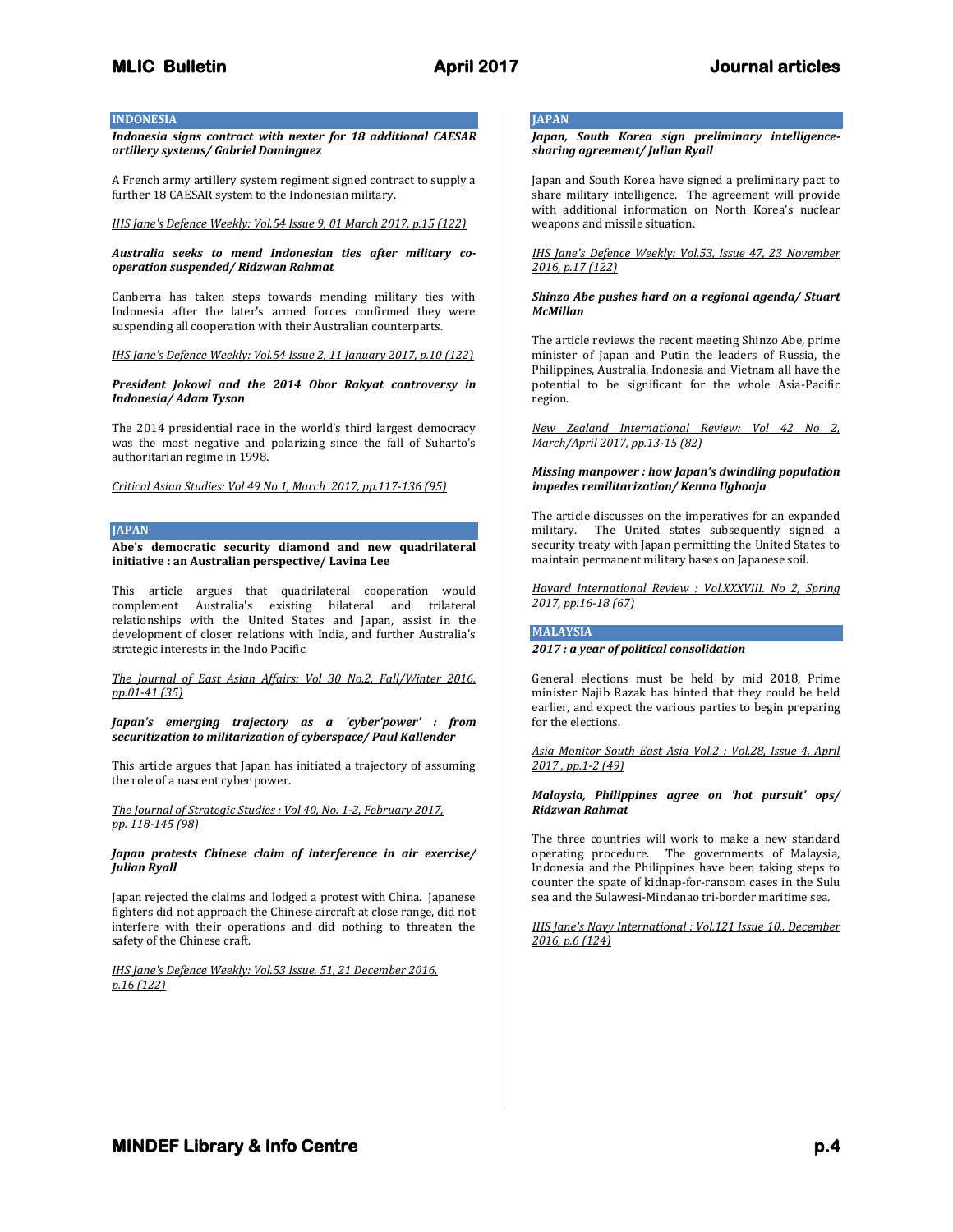### **INDONESIA**

*Indonesia signs contract with nexter for 18 additional CAESAR artillery systems/ Gabriel Dominguez*

A French army artillery system regiment signed contract to supply a further 18 CAESAR system to the Indonesian military.

*IHS Jane's Defence Weekly: Vol.54 Issue 9, 01 March 2017, p.15 (122)*

### *Australia seeks to mend Indonesian ties after military cooperation suspended/ Ridzwan Rahmat*

Canberra has taken steps towards mending military ties with Indonesia after the later's armed forces confirmed they were

*IHS Jane's Defence Weekly: Vol.54 Issue 2, 11 January 2017, p.10 (122)*

suspending all cooperation with their Australian counterparts.

*President Jokowi and the 2014 Obor Rakyat controversy in Indonesia/ Adam Tyson*

The 2014 presidential race in the world's third largest democracy was the most negative and polarizing since the fall of Suharto's authoritarian regime in 1998.

*Critical Asian Studies: Vol 49 No 1, March 2017, pp.117-136 (95)*

### **JAPAN**

**Abe's democratic security diamond and new quadrilateral initiative : an Australian perspective/ Lavina Lee**

This article argues that quadrilateral cooperation would complement Australia's existing bilateral and trilateral relationships with the United States and Japan, assist in the development of closer relations with India, and further Australia's strategic interests in the Indo Pacific.

*The Journal of East Asian Affairs: Vol 30 No.2, Fall/Winter 2016, pp.01-41 (35)*

*Japan's emerging trajectory as a 'cyber'power' : from securitization to militarization of cyberspace/ Paul Kallender*

This article argues that Japan has initiated a trajectory of assuming the role of a nascent cyber power.

*The Journal of Strategic Studies : Vol 40, No. 1-2, February 2017, pp. 118-145 (98)*

*Japan protests Chinese claim of interference in air exercise/ Julian Ryall*

Japan rejected the claims and lodged a protest with China. Japanese fighters did not approach the Chinese aircraft at close range, did not interfere with their operations and did nothing to threaten the safety of the Chinese craft.

*IHS Jane's Defence Weekly: Vol.53 Issue. 51, 21 December 2016, p.16 (122)*

# **JAPAN**

*Japan, South Korea sign preliminary intelligencesharing agreement/ Julian Ryail*

Japan and South Korea have signed a preliminary pact to share military intelligence. The agreement will provide with additional information on North Korea's nuclear weapons and missile situation.

*IHS Jane's Defence Weekly: Vol.53, Issue 47, 23 November 2016, p.17 (122)*

### *Shinzo Abe pushes hard on a regional agenda/ Stuart McMillan*

The article reviews the recent meeting Shinzo Abe, prime minister of Japan and Putin the leaders of Russia, the Philippines, Australia, Indonesia and Vietnam all have the potential to be significant for the whole Asia-Pacific region.

*New Zealand International Review: Vol 42 No 2, March/April 2017, pp.13-15 (82)*

### *Missing manpower : how Japan's dwindling population impedes remilitarization/ Kenna Ugboaja*

The article discusses on the imperatives for an expanded military. The United states subsequently signed a security treaty with Japan permitting the United States to maintain permanent military bases on Japanese soil.

*Havard International Review : Vol.XXXVIII. No 2, Spring 2017, pp.16-18 (67)* 

# **MALAYSIA**

*2017 : a year of political consolidation*

General elections must be held by mid 2018, Prime minister Najib Razak has hinted that they could be held earlier, and expect the various parties to begin preparing for the elections.

*Asia Monitor South East Asia Vol.2 : Vol.28, Issue 4, April 2017 , pp.1-2 (49)*

### *Malaysia, Philippines agree on 'hot pursuit' ops/ Ridzwan Rahmat*

The three countries will work to make a new standard operating procedure. The governments of Malaysia, Indonesia and the Philippines have been taking steps to counter the spate of kidnap-for-ransom cases in the Sulu sea and the Sulawesi-Mindanao tri-border maritime sea.

*IHS Jane's Navy International : Vol.121 Issue 10., December 2016, p.6 (124)*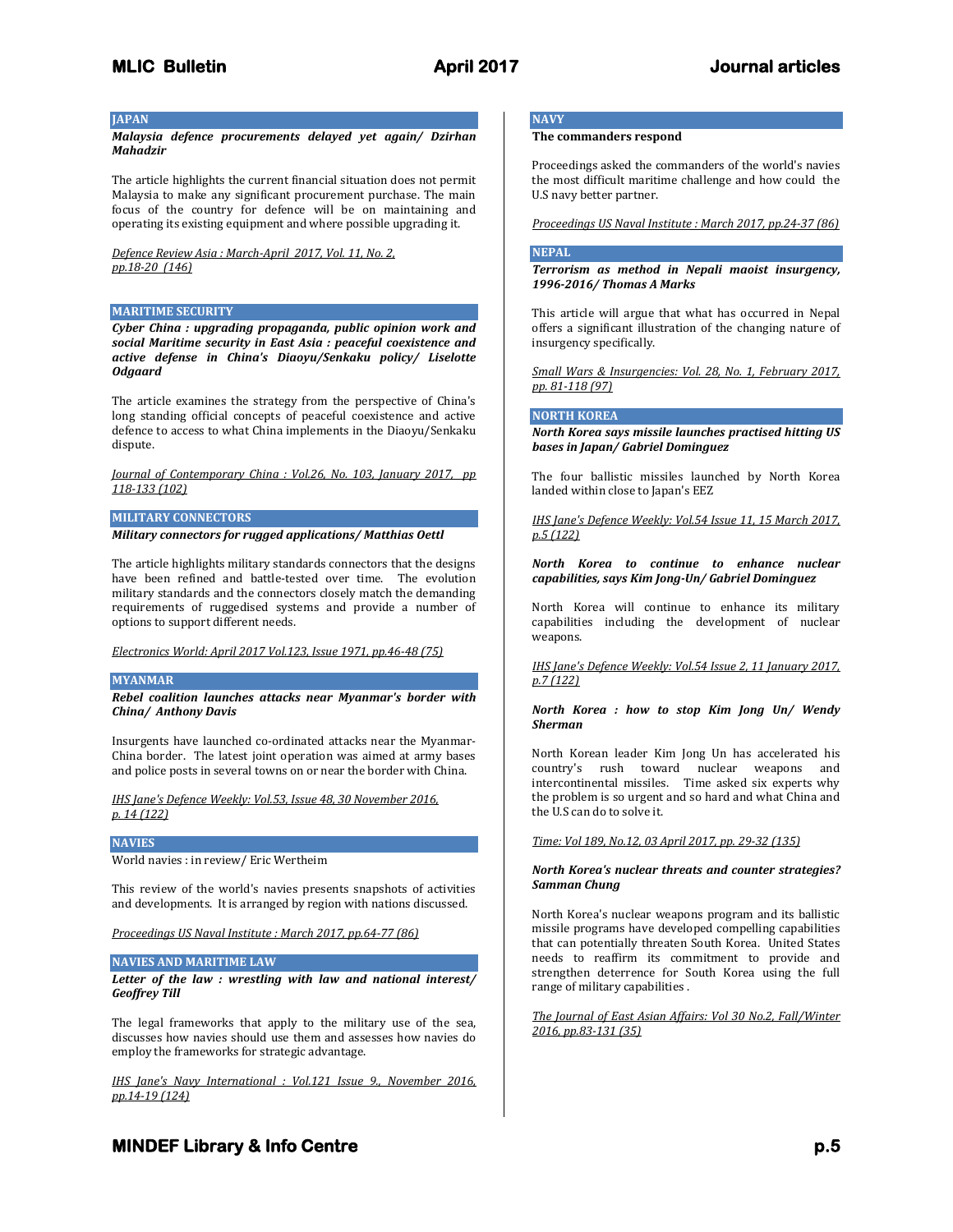# **JAPAN**

*Malaysia defence procurements delayed yet again/ Dzirhan Mahadzir*

The article highlights the current financial situation does not permit Malaysia to make any significant procurement purchase. The main focus of the country for defence will be on maintaining and operating its existing equipment and where possible upgrading it.

*Defence Review Asia : March-April 2017, Vol. 11, No. 2, pp.18-20 (146)*

### **MARITIME SECURITY**

*Cyber China : upgrading propaganda, public opinion work and social Maritime security in East Asia : peaceful coexistence and active defense in China's Diaoyu/Senkaku policy/ Liselotte Odgaard*

The article examines the strategy from the perspective of China's long standing official concepts of peaceful coexistence and active defence to access to what China implements in the Diaoyu/Senkaku dispute.

*Journal of Contemporary China : Vol.26, No. 103, January 2017, pp 118-133 (102)*

### **MILITARY CONNECTORS**

*Military connectors for rugged applications/ Matthias Oettl*

The article highlights military standards connectors that the designs have been refined and battle-tested over time. The evolution military standards and the connectors closely match the demanding requirements of ruggedised systems and provide a number of options to support different needs.

*Electronics World: April 2017 Vol.123, Issue 1971, pp.46-48 (75)*

### **MYANMAR**

*Rebel coalition launches attacks near Myanmar's border with China/ Anthony Davis*

Insurgents have launched co-ordinated attacks near the Myanmar-China border. The latest joint operation was aimed at army bases and police posts in several towns on or near the border with China.

*IHS Jane's Defence Weekly: Vol.53, Issue 48, 30 November 2016, p. 14 (122)*

### **NAVIES**

World navies : in review/ Eric Wertheim

This review of the world's navies presents snapshots of activities and developments. It is arranged by region with nations discussed.

*Proceedings US Naval Institute : March 2017, pp.64-77 (86)*

### **NAVIES AND MARITIME LAW**

*Letter of the law : wrestling with law and national interest/ Geoffrey Till*

The legal frameworks that apply to the military use of the sea, discusses how navies should use them and assesses how navies do employ the frameworks for strategic advantage.

*IHS Jane's Navy International : Vol.121 Issue 9., November 2016, pp.14-19 (124)*

# **NAVY**

# **The commanders respond**

Proceedings asked the commanders of the world's navies the most difficult maritime challenge and how could the U.S navy better partner.

*Proceedings US Naval Institute : March 2017, pp.24-37 (86)*

### **NEPAL**

*Terrorism as method in Nepali maoist insurgency, 1996-2016/ Thomas A Marks*

This article will argue that what has occurred in Nepal offers a significant illustration of the changing nature of insurgency specifically.

*Small Wars & Insurgencies: Vol. 28, No. 1, February 2017, pp. 81-118 (97)*

### **NORTH KOREA**

*North Korea says missile launches practised hitting US bases in Japan/ Gabriel Dominguez*

The four ballistic missiles launched by North Korea landed within close to Japan's EEZ

*IHS Jane's Defence Weekly: Vol.54 Issue 11, 15 March 2017, p.5 (122)*

*North Korea to continue to enhance nuclear capabilities, says Kim Jong-Un/ Gabriel Dominguez*

North Korea will continue to enhance its military capabilities including the development of nuclear weapons.

*IHS Jane's Defence Weekly: Vol.54 Issue 2, 11 January 2017, p.7 (122)*

*North Korea : how to stop Kim Jong Un/ Wendy Sherman*

North Korean leader Kim Jong Un has accelerated his country's rush toward nuclear weapons and intercontinental missiles. Time asked six experts why the problem is so urgent and so hard and what China and the U.S can do to solve it.

*Time: Vol 189, No.12, 03 April 2017, pp. 29-32 (135)*

### *North Korea's nuclear threats and counter strategies? Samman Chung*

North Korea's nuclear weapons program and its ballistic missile programs have developed compelling capabilities that can potentially threaten South Korea. United States needs to reaffirm its commitment to provide and strengthen deterrence for South Korea using the full range of military capabilities .

*The Journal of East Asian Affairs: Vol 30 No.2, Fall/Winter 2016, pp.83-131 (35)*

# **MINDEF Library & Info Centre** *p.5* $p.5$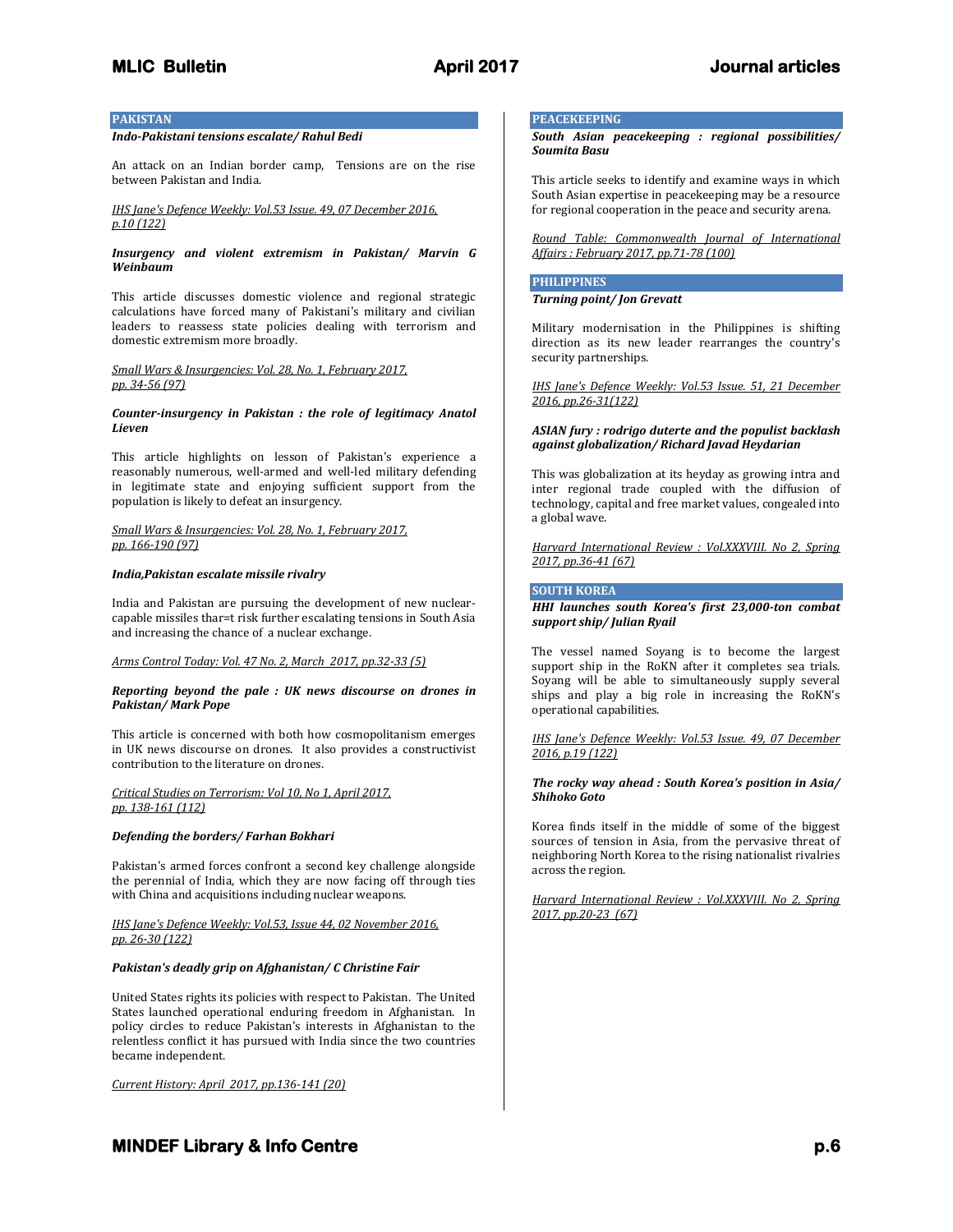## **PAKISTAN**

# *Indo-Pakistani tensions escalate/ Rahul Bedi*

An attack on an Indian border camp, Tensions are on the rise between Pakistan and India.

### *IHS Jane's Defence Weekly: Vol.53 Issue. 49, 07 December 2016, p.10 (122)*

### *Insurgency and violent extremism in Pakistan/ Marvin G Weinbaum*

This article discusses domestic violence and regional strategic calculations have forced many of Pakistani's military and civilian leaders to reassess state policies dealing with terrorism and domestic extremism more broadly.

### *Small Wars & Insurgencies: Vol. 28, No. 1, February 2017, pp. 34-56 (97)*

### *Counter-insurgency in Pakistan : the role of legitimacy Anatol Lieven*

This article highlights on lesson of Pakistan's experience a reasonably numerous, well-armed and well-led military defending in legitimate state and enjoying sufficient support from the population is likely to defeat an insurgency.

### *Small Wars & Insurgencies: Vol. 28, No. 1, February 2017, pp. 166-190 (97)*

### *India,Pakistan escalate missile rivalry*

India and Pakistan are pursuing the development of new nuclearcapable missiles thar=t risk further escalating tensions in South Asia and increasing the chance of a nuclear exchange.

### *Arms Control Today: Vol. 47 No. 2, March 2017, pp.32-33 (5)*

### *Reporting beyond the pale : UK news discourse on drones in Pakistan/ Mark Pope*

This article is concerned with both how cosmopolitanism emerges in UK news discourse on drones. It also provides a constructivist contribution to the literature on drones.

### *Critical Studies on Terrorism: Vol 10, No 1, April 2017, pp. 138-161 (112)*

### *Defending the borders/ Farhan Bokhari*

Pakistan's armed forces confront a second key challenge alongside the perennial of India, which they are now facing off through ties with China and acquisitions including nuclear weapons.

### *IHS Jane's Defence Weekly: Vol.53, Issue 44, 02 November 2016, pp. 26-30 (122)*

# *Pakistan's deadly grip on Afghanistan/ C Christine Fair*

United States rights its policies with respect to Pakistan. The United States launched operational enduring freedom in Afghanistan. In policy circles to reduce Pakistan's interests in Afghanistan to the relentless conflict it has pursued with India since the two countries became independent.

*Current History: April 2017, pp.136-141 (20)*

# **PEACEKEEPING**

*South Asian peacekeeping : regional possibilities/ Soumita Basu*

This article seeks to identify and examine ways in which South Asian expertise in peacekeeping may be a resource for regional cooperation in the peace and security arena.

*Round Table: Commonwealth Journal of International Affairs : February 2017, pp.71-78 (100)*

# **PHILIPPINES**

*Turning point/ Jon Grevatt*

Military modernisation in the Philippines is shifting direction as its new leader rearranges the country's security partnerships.

*IHS Jane's Defence Weekly: Vol.53 Issue. 51, 21 December 2016, pp.26-31(122)*

### *ASIAN fury : rodrigo duterte and the populist backlash against globalization/ Richard Javad Heydarian*

This was globalization at its heyday as growing intra and inter regional trade coupled with the diffusion of technology, capital and free market values, congealed into a global wave.

*Harvard International Review : Vol.XXXVIII. No 2, Spring 2017, pp.36-41 (67)*

# **SOUTH KOREA**

### *HHI launches south Korea's first 23,000-ton combat support ship/ Julian Ryail*

The vessel named Soyang is to become the largest support ship in the RoKN after it completes sea trials. Soyang will be able to simultaneously supply several ships and play a big role in increasing the RoKN's operational capabilities.

*IHS Jane's Defence Weekly: Vol.53 Issue. 49, 07 December 2016, p.19 (122)*

### *The rocky way ahead : South Korea's position in Asia/ Shihoko Goto*

Korea finds itself in the middle of some of the biggest sources of tension in Asia, from the pervasive threat of neighboring North Korea to the rising nationalist rivalries across the region.

*Harvard International Review : Vol.XXXVIII. No 2, Spring 2017, pp.20-23 (67)*